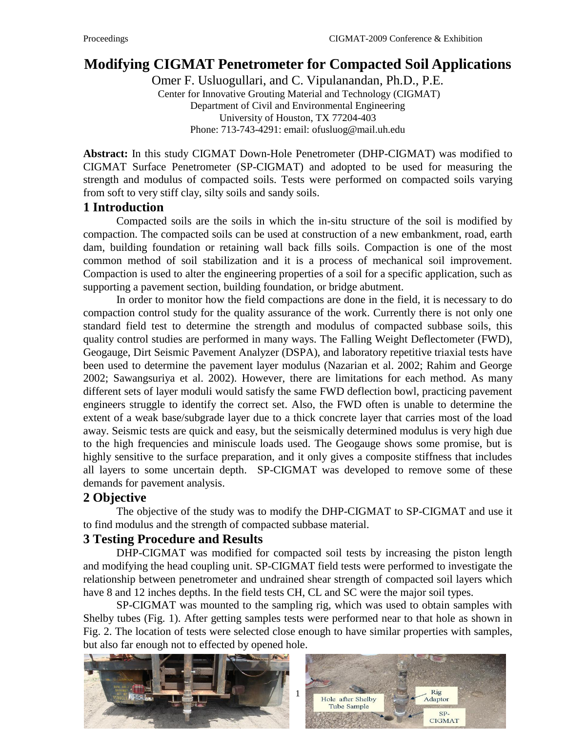# **Modifying CIGMAT Penetrometer for Compacted Soil Applications**

Omer F. Usluogullari, and C. Vipulanandan, Ph.D., P.E. Center for Innovative Grouting Material and Technology (CIGMAT) Department of Civil and Environmental Engineering University of Houston, TX 77204-403 Phone: 713-743-4291: email: ofusluog@mail.uh.edu

**Abstract:** In this study CIGMAT Down-Hole Penetrometer (DHP-CIGMAT) was modified to CIGMAT Surface Penetrometer (SP-CIGMAT) and adopted to be used for measuring the strength and modulus of compacted soils. Tests were performed on compacted soils varying from soft to very stiff clay, silty soils and sandy soils.

## **1 Introduction**

Compacted soils are the soils in which the in-situ structure of the soil is modified by compaction. The compacted soils can be used at construction of a new embankment, road, earth dam, building foundation or retaining wall back fills soils. Compaction is one of the most common method of soil stabilization and it is a process of mechanical soil improvement. Compaction is used to alter the engineering properties of a soil for a specific application, such as supporting a pavement section, building foundation, or bridge abutment.

In order to monitor how the field compactions are done in the field, it is necessary to do compaction control study for the quality assurance of the work. Currently there is not only one standard field test to determine the strength and modulus of compacted subbase soils, this quality control studies are performed in many ways. The Falling Weight Deflectometer (FWD), Geogauge, Dirt Seismic Pavement Analyzer (DSPA), and laboratory repetitive triaxial tests have been used to determine the pavement layer modulus (Nazarian et al. 2002; Rahim and George 2002; Sawangsuriya et al. 2002). However, there are limitations for each method. As many different sets of layer moduli would satisfy the same FWD deflection bowl, practicing pavement engineers struggle to identify the correct set. Also, the FWD often is unable to determine the extent of a weak base/subgrade layer due to a thick concrete layer that carries most of the load away. Seismic tests are quick and easy, but the seismically determined modulus is very high due to the high frequencies and miniscule loads used. The Geogauge shows some promise, but is highly sensitive to the surface preparation, and it only gives a composite stiffness that includes all layers to some uncertain depth. SP-CIGMAT was developed to remove some of these demands for pavement analysis.

## **2 Objective**

The objective of the study was to modify the DHP-CIGMAT to SP-CIGMAT and use it to find modulus and the strength of compacted subbase material.

## **3 Testing Procedure and Results**

DHP-CIGMAT was modified for compacted soil tests by increasing the piston length and modifying the head coupling unit. SP-CIGMAT field tests were performed to investigate the relationship between penetrometer and undrained shear strength of compacted soil layers which have 8 and 12 inches depths. In the field tests CH, CL and SC were the major soil types.

SP-CIGMAT was mounted to the sampling rig, which was used to obtain samples with Shelby tubes (Fig. 1). After getting samples tests were performed near to that hole as shown in Fig. 2. The location of tests were selected close enough to have similar properties with samples, but also far enough not to effected by opened hole.